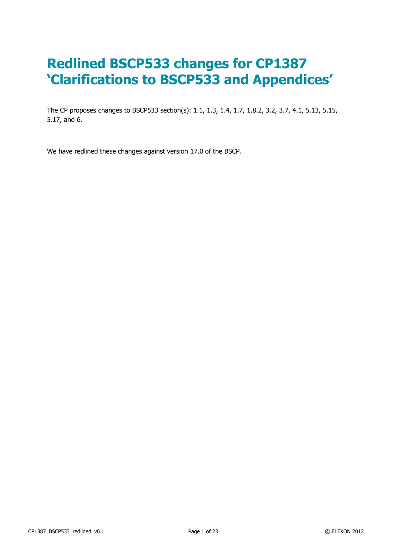# **Redlined BSCP533 changes for CP1387 'Clarifications to BSCP533 and Appendices'**

The CP proposes changes to BSCP533 section(s): 1.1, 1.3, 1.4, 1.7, 1.8.2, 3.2, 3.7, 4.1, 5.13, 5.15, 5.17, and 6.

We have redlined these changes against version 17.0 of the BSCP.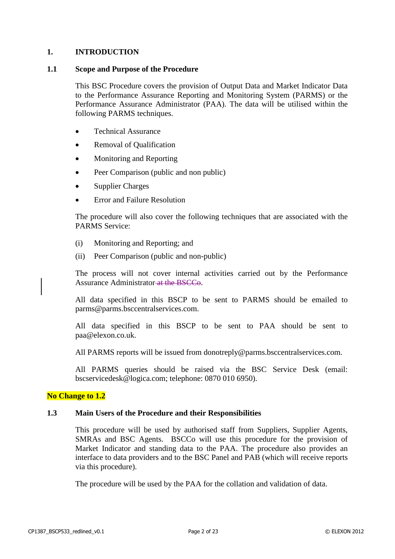#### **1. INTRODUCTION**

#### **1.1 Scope and Purpose of the Procedure**

This BSC Procedure covers the provision of Output Data and Market Indicator Data to the Performance Assurance Reporting and Monitoring System (PARMS) or the Performance Assurance Administrator (PAA). The data will be utilised within the following PARMS techniques.

- Technical Assurance
- Removal of Qualification
- Monitoring and Reporting
- Peer Comparison (public and non public)
- Supplier Charges
- Error and Failure Resolution

The procedure will also cover the following techniques that are associated with the PARMS Service:

- (i) Monitoring and Reporting; and
- (ii) Peer Comparison (public and non-public)

The process will not cover internal activities carried out by the Performance Assurance Administrator at the BSCCo.

All data specified in this BSCP to be sent to PARMS should be emailed to parms@parms.bsccentralservices.com.

All data specified in this BSCP to be sent to PAA should be sent to paa@elexon.co.uk.

All PARMS reports will be issued from donotreply@parms.bsccentralservices.com.

All PARMS queries should be raised via the BSC Service Desk (email: bscservicedesk@logica.com; telephone: 0870 010 6950).

#### **No Change to 1.2**

#### **1.3 Main Users of the Procedure and their Responsibilities**

This procedure will be used by authorised staff from Suppliers, Supplier Agents, SMRAs and BSC Agents. BSCCo will use this procedure for the provision of Market Indicator and standing data to the PAA. The procedure also provides an interface to data providers and to the BSC Panel and PAB (which will receive reports via this procedure).

The procedure will be used by the PAA for the collation and validation of data.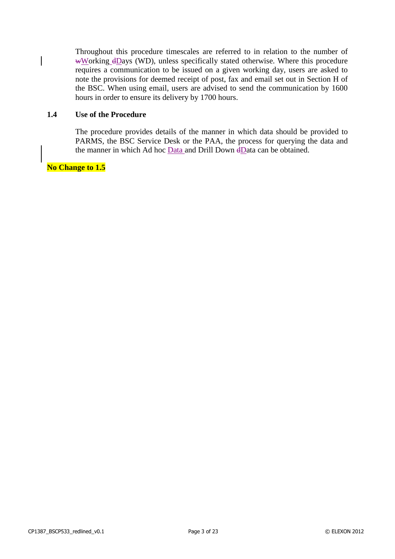Throughout this procedure timescales are referred to in relation to the number of wWorking  $d$ Days (WD), unless specifically stated otherwise. Where this procedure requires a communication to be issued on a given working day, users are asked to note the provisions for deemed receipt of post, fax and email set out in Section H of the BSC. When using email, users are advised to send the communication by 1600 hours in order to ensure its delivery by 1700 hours.

#### **1.4 Use of the Procedure**

The procedure provides details of the manner in which data should be provided to PARMS, the BSC Service Desk or the PAA, the process for querying the data and the manner in which Ad hoc Data and Drill Down dData can be obtained.

### **No Change to 1.5**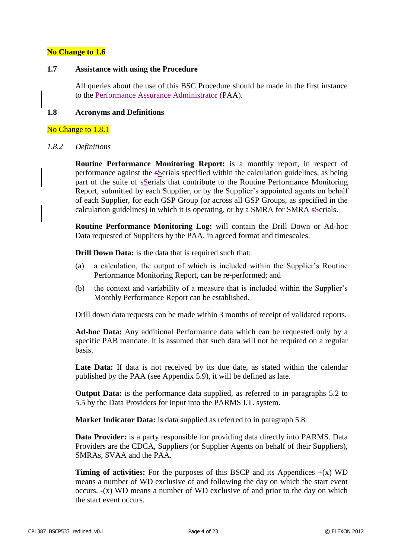#### **No Change to 1.6**

#### **1.7 Assistance with using the Procedure**

All queries about the use of this BSC Procedure should be made in the first instance to the Performance Assurance Administrator (PAA).

#### **1.8 Acronyms and Definitions**

#### No Change to 1.8.1

#### *1.8.2 Definitions*

**Routine Performance Monitoring Report:** is a monthly report, in respect of performance against the sSerials specified within the calculation guidelines, as being part of the suite of sSerials that contribute to the Routine Performance Monitoring Report, submitted by each Supplier, or by the Supplier's appointed agents on behalf of each Supplier, for each GSP Group (or across all GSP Groups, as specified in the calculation guidelines) in which it is operating, or by a SMRA for SMRA sSerials.

**Routine Performance Monitoring Log:** will contain the Drill Down or Ad-hoc Data requested of Suppliers by the PAA, in agreed format and timescales.

**Drill Down Data:** is the data that is required such that:

- (a) a calculation, the output of which is included within the Supplier's Routine Performance Monitoring Report, can be re-performed; and
- (b) the context and variability of a measure that is included within the Supplier's Monthly Performance Report can be established.

Drill down data requests can be made within 3 months of receipt of validated reports.

**Ad-hoc Data:** Any additional Performance data which can be requested only by a specific PAB mandate. It is assumed that such data will not be required on a regular basis.

**Late Data:** If data is not received by its due date, as stated within the calendar published by the PAA (see Appendix 5.9), it will be defined as late.

**Output Data:** is the performance data supplied, as referred to in paragraphs 5.2 to 5.5 by the Data Providers for input into the PARMS I.T. system.

**Market Indicator Data:** is data supplied as referred to in paragraph 5.8.

**Data Provider:** is a party responsible for providing data directly into PARMS. Data Providers are the CDCA, Suppliers (or Supplier Agents on behalf of their Suppliers), SMRAs, SVAA and the PAA.

**Timing of activities:** For the purposes of this BSCP and its Appendices  $+(x)$  WD means a number of WD exclusive of and following the day on which the start event occurs. -(x) WD means a number of WD exclusive of and prior to the day on which the start event occurs.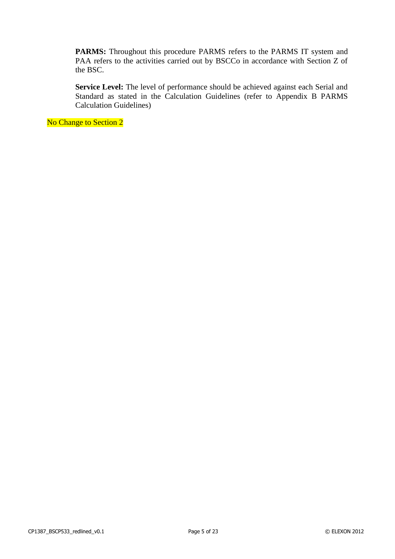PARMS: Throughout this procedure PARMS refers to the PARMS IT system and PAA refers to the activities carried out by BSCCo in accordance with Section Z of the BSC.

**Service Level:** The level of performance should be achieved against each Serial and Standard as stated in the Calculation Guidelines (refer to Appendix B PARMS Calculation Guidelines)

No Change to Section 2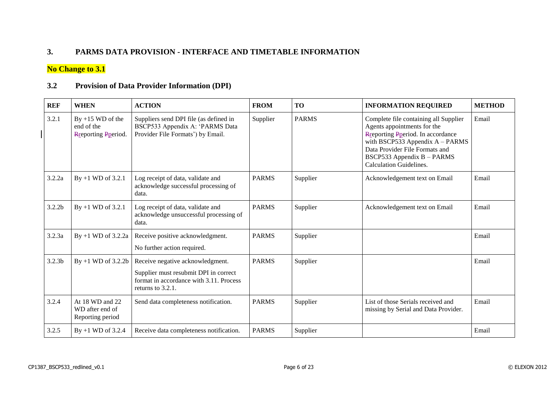### **3. PARMS DATA PROVISION - INTERFACE AND TIMETABLE INFORMATION**

## **No Change to 3.1**

#### **3.2 Provision of Data Provider Information (DPI)**

| <b>REF</b>         | <b>WHEN</b>                                                     | <b>ACTION</b>                                                                                                                             | <b>FROM</b>  | <b>TO</b>    | <b>INFORMATION REQUIRED</b>                                                                                                                                                                                                                     | <b>METHOD</b> |
|--------------------|-----------------------------------------------------------------|-------------------------------------------------------------------------------------------------------------------------------------------|--------------|--------------|-------------------------------------------------------------------------------------------------------------------------------------------------------------------------------------------------------------------------------------------------|---------------|
| 3.2.1              | $By +15 WD of the$<br>end of the<br><b>R</b> reporting Pperiod. | Suppliers send DPI file (as defined in<br>BSCP533 Appendix A: 'PARMS Data<br>Provider File Formats') by Email.                            | Supplier     | <b>PARMS</b> | Complete file containing all Supplier<br>Agents appointments for the<br>Reporting Pperiod. In accordance<br>with BSCP533 Appendix $A - PARNS$<br>Data Provider File Formats and<br>BSCP533 Appendix B - PARMS<br><b>Calculation Guidelines.</b> | Email         |
| 3.2.2a             | $By +1 WD of 3.2.1$                                             | Log receipt of data, validate and<br>acknowledge successful processing of<br>data.                                                        | <b>PARMS</b> | Supplier     | Acknowledgement text on Email                                                                                                                                                                                                                   | Email         |
| 3.2.2 <sub>b</sub> | $By +1 WD of 3.2.1$                                             | Log receipt of data, validate and<br>acknowledge unsuccessful processing of<br>data.                                                      | <b>PARMS</b> | Supplier     | Acknowledgement text on Email                                                                                                                                                                                                                   | Email         |
| 3.2.3a             | By $+1$ WD of 3.2.2a                                            | Receive positive acknowledgment.<br>No further action required.                                                                           | <b>PARMS</b> | Supplier     |                                                                                                                                                                                                                                                 | Email         |
| 3.2.3 <sub>b</sub> | By $+1$ WD of 3.2.2b                                            | Receive negative acknowledgment.<br>Supplier must resubmit DPI in correct<br>format in accordance with 3.11. Process<br>returns to 3.2.1. | <b>PARMS</b> | Supplier     |                                                                                                                                                                                                                                                 | Email         |
| 3.2.4              | At 18 WD and 22<br>WD after end of<br>Reporting period          | Send data completeness notification.                                                                                                      | <b>PARMS</b> | Supplier     | List of those Serials received and<br>missing by Serial and Data Provider.                                                                                                                                                                      | Email         |
| 3.2.5              | $By +1 WD of 3.2.4$                                             | Receive data completeness notification.                                                                                                   | <b>PARMS</b> | Supplier     |                                                                                                                                                                                                                                                 | Email         |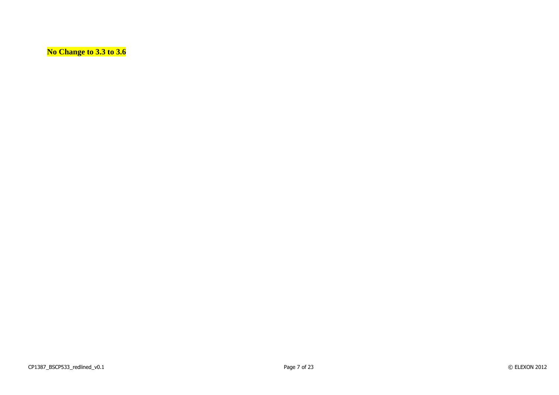**No Change to 3.3 to 3.6**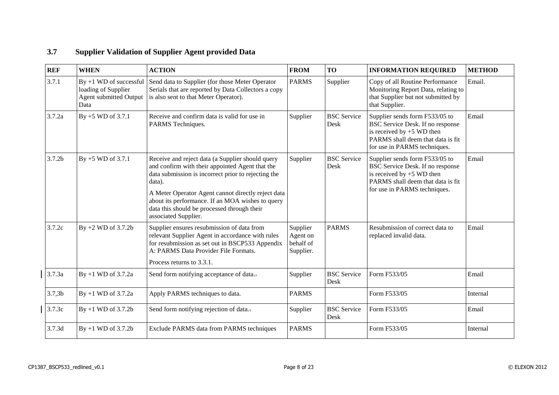#### **REF** WHEN **ACTION FROM TO INFORMATION REQUIRED METHOD**  $3.7.1$  By +1 WD of successful loading of Supplier Agent submitted Output Data Send data to Supplier (for those Meter Operator Serials that are reported by Data Collectors a copy is also sent to that Meter Operator). PARMS Supplier Copy of all Routine Performance Monitoring Report Data, relating to that Supplier but not submitted by that Supplier. Email.  $3.7.2a$  By +5 WD of 3.7.1 Receive and confirm data is valid for use in PARMS Techniques. Supplier BSC Service Desk Supplier sends form F533/05 to BSC Service Desk. If no response is received by  $+5$  WD then PARMS shall deem that data is fit for use in PARMS techniques. Email  $3.7.2b$  By +5 WD of 3.7.1 Receive and reject data (a Supplier should query and confirm with their appointed Agent that the data submission is incorrect prior to rejecting the data). A Meter Operator Agent cannot directly reject data about its performance. If an MOA wishes to query data this should be processed through their associated Supplier. Supplier BSC Service Desk Supplier sends form F533/05 to BSC Service Desk. If no response is received by  $+5$  WD then PARMS shall deem that data is fit for use in PARMS techniques. Email 3.7.2c  $\mid$  By +2 WD of 3.7.2b Supplier ensures resubmission of data from relevant Supplier Agent in accordance with rules for resubmission as set out in BSCP533 Appendix A: PARMS Data Provider File Formats. Process returns to 3.3.1. Supplier Agent on behalf of Supplier. PARMS Resubmission of correct data to replaced invalid data. Email 3.7.3a  $\begin{array}{|l|l|} \text{By +1 WD of 3.7.2a} & \text{Send form notifying acceptance of data.} \end{array}$  Supplier BSC Service Desk Form F533/05 Email 3.7,3b By +1 WD of 3.7.2a Apply PARMS techniques to data. PARMS Form F533/05 Internal 3.7.3c By +1 WD of 3.7.2b Send form notifying rejection of data.. Supplier BSC Service Desk Form F533/05 Email 3.7.3d By +1 WD of 3.7.2b Exclude PARMS data from PARMS techniques PARMS Form F533/05 Internal

#### **3.7 Supplier Validation of Supplier Agent provided Data**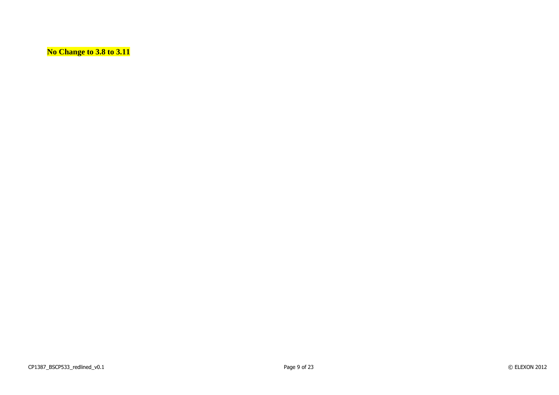**No Change to 3.8 to 3.11**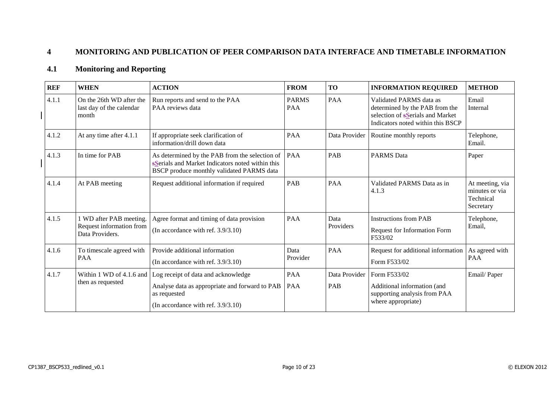## **4 MONITORING AND PUBLICATION OF PEER COMPARISON DATA INTERFACE AND TIMETABLE INFORMATION**

### **4.1 Monitoring and Reporting**

| <b>REF</b> | <b>WHEN</b>                                                            | <b>ACTION</b>                                                                                                                                          | <b>FROM</b>         | <b>TO</b>            | <b>INFORMATION REQUIRED</b>                                                                                                                | <b>METHOD</b>                                               |
|------------|------------------------------------------------------------------------|--------------------------------------------------------------------------------------------------------------------------------------------------------|---------------------|----------------------|--------------------------------------------------------------------------------------------------------------------------------------------|-------------------------------------------------------------|
| 4.1.1      | On the 26th WD after the<br>last day of the calendar<br>month          | Run reports and send to the PAA<br>PAA reviews data                                                                                                    | <b>PARMS</b><br>PAA | PAA                  | Validated PARMS data as<br>determined by the PAB from the<br>selection of s <b>Serials</b> and Market<br>Indicators noted within this BSCP | Email<br>Internal                                           |
| 4.1.2      | At any time after 4.1.1                                                | If appropriate seek clarification of<br>information/drill down data                                                                                    | <b>PAA</b>          | Data Provider        | Routine monthly reports                                                                                                                    | Telephone,<br>Email.                                        |
| 4.1.3      | In time for PAB                                                        | PAA<br>As determined by the PAB from the selection of<br>sSerials and Market Indicators noted within this<br>BSCP produce monthly validated PARMS data |                     | <b>PAB</b>           | <b>PARMS</b> Data                                                                                                                          | Paper                                                       |
| 4.1.4      | At PAB meeting                                                         | Request additional information if required                                                                                                             | PAB                 | PAA                  | Validated PARMS Data as in<br>4.1.3                                                                                                        | At meeting, via<br>minutes or via<br>Technical<br>Secretary |
| 4.1.5      | 1 WD after PAB meeting.<br>Request information from<br>Data Providers. | Agree format and timing of data provision<br>(In accordance with ref. $3.9/3.10$ )                                                                     | PAA                 | Data<br>Providers    | <b>Instructions from PAB</b><br>Request for Information Form<br>F533/02                                                                    | Telephone,<br>Email,                                        |
| 4.1.6      | To timescale agreed with<br><b>PAA</b>                                 | Provide additional information<br>(In accordance with ref. $3.9/3.10$ )                                                                                | Data<br>Provider    | PAA                  | Request for additional information<br>Form F533/02                                                                                         | As agreed with<br><b>PAA</b>                                |
| 4.1.7      | Within 1 WD of 4.1.6 and<br>then as requested                          | Log receipt of data and acknowledge<br>Analyse data as appropriate and forward to PAB<br>as requested<br>(In accordance with ref. $3.9/3.10$ )         | PAA<br>PAA          | Data Provider<br>PAB | Form F533/02<br>Additional information (and<br>supporting analysis from PAA<br>where appropriate)                                          | Email/Paper                                                 |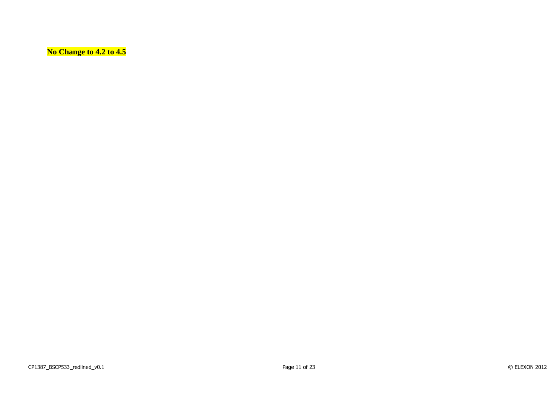**No Change to 4.2 to 4.5**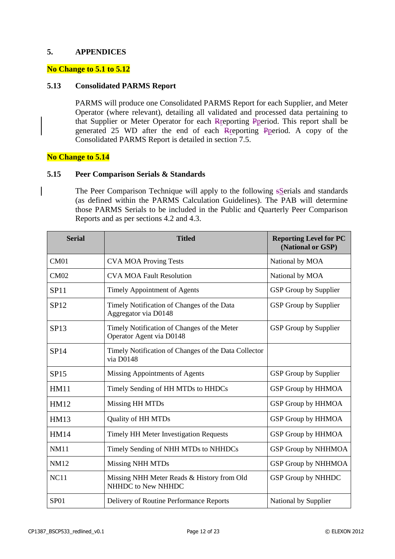#### **5. APPENDICES**

#### **No Change to 5.1 to 5.12**

#### **5.13 Consolidated PARMS Report**

PARMS will produce one Consolidated PARMS Report for each Supplier, and Meter Operator (where relevant), detailing all validated and processed data pertaining to that Supplier or Meter Operator for each Rreporting Pperiod. This report shall be generated 25 WD after the end of each Rreporting Pperiod. A copy of the Consolidated PARMS Report is detailed in section 7.5.

#### **No Change to 5.14**

#### **5.15 Peer Comparison Serials & Standards**

The Peer Comparison Technique will apply to the following sSerials and standards (as defined within the PARMS Calculation Guidelines). The PAB will determine those PARMS Serials to be included in the Public and Quarterly Peer Comparison Reports and as per sections 4.2 and 4.3.

| <b>Serial</b> | <b>Titled</b>                                                           | <b>Reporting Level for PC</b><br>(National or GSP) |
|---------------|-------------------------------------------------------------------------|----------------------------------------------------|
| CM01          | <b>CVA MOA Proving Tests</b>                                            | National by MOA                                    |
| CM02          | <b>CVA MOA Fault Resolution</b>                                         | National by MOA                                    |
| <b>SP11</b>   | Timely Appointment of Agents                                            | GSP Group by Supplier                              |
| SP12          | Timely Notification of Changes of the Data<br>Aggregator via D0148      | GSP Group by Supplier                              |
| <b>SP13</b>   | Timely Notification of Changes of the Meter<br>Operator Agent via D0148 | GSP Group by Supplier                              |
| <b>SP14</b>   | Timely Notification of Changes of the Data Collector<br>via D0148       |                                                    |
| <b>SP15</b>   | Missing Appointments of Agents                                          | GSP Group by Supplier                              |
| <b>HM11</b>   | Timely Sending of HH MTDs to HHDCs                                      | GSP Group by HHMOA                                 |
| <b>HM12</b>   | Missing HH MTDs                                                         | <b>GSP Group by HHMOA</b>                          |
| <b>HM13</b>   | <b>Quality of HH MTDs</b>                                               | GSP Group by HHMOA                                 |
| <b>HM14</b>   | <b>Timely HH Meter Investigation Requests</b>                           | GSP Group by HHMOA                                 |
| <b>NM11</b>   | Timely Sending of NHH MTDs to NHHDCs                                    | <b>GSP Group by NHHMOA</b>                         |
| <b>NM12</b>   | <b>Missing NHH MTDs</b>                                                 | GSP Group by NHHMOA                                |
| NC11          | Missing NHH Meter Reads & History from Old<br>NHHDC to New NHHDC        | GSP Group by NHHDC                                 |
| SP01          | Delivery of Routine Performance Reports                                 | National by Supplier                               |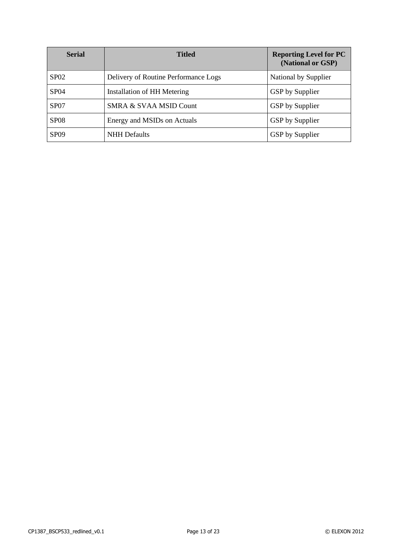| <b>Serial</b>    | <b>Titled</b>                        | <b>Reporting Level for PC</b><br>(National or GSP) |
|------------------|--------------------------------------|----------------------------------------------------|
| SP02             | Delivery of Routine Performance Logs | National by Supplier                               |
| <b>SP04</b>      | Installation of HH Metering          | <b>GSP</b> by Supplier                             |
| SP <sub>07</sub> | SMRA & SVAA MSID Count               | <b>GSP</b> by Supplier                             |
| <b>SP08</b>      | Energy and MSIDs on Actuals          | GSP by Supplier                                    |
| SP <sub>09</sub> | <b>NHH</b> Defaults                  | GSP by Supplier                                    |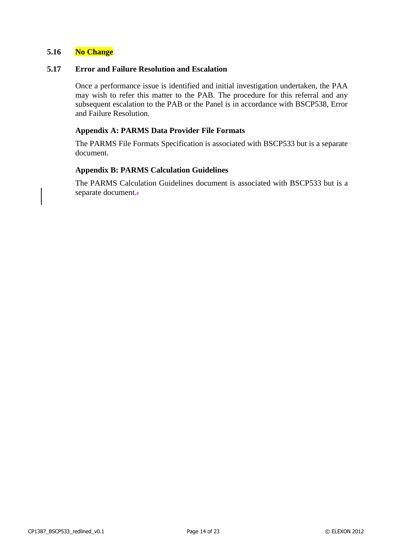#### **5.16 No Change**

#### **5.17 Error and Failure Resolution and Escalation**

Once a performance issue is identified and initial investigation undertaken, the PAA may wish to refer this matter to the PAB. The procedure for this referral and any subsequent escalation to the PAB or the Panel is in accordance with BSCP538, Error and Failure Resolution.

#### **Appendix A: PARMS Data Provider File Formats**

The PARMS File Formats Specification is associated with BSCP533 but is a separate document.

#### **Appendix B: PARMS Calculation Guidelines**

The PARMS Calculation Guidelines document is associated with BSCP533 but is a separate document.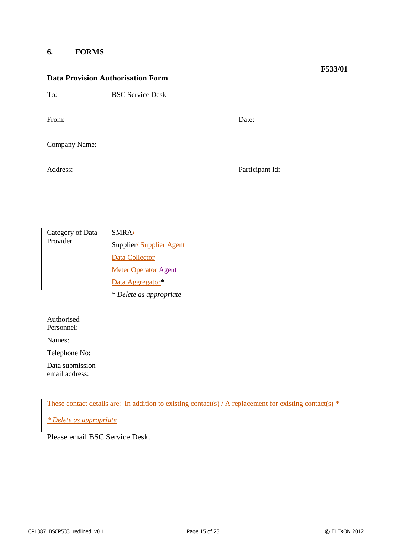#### **6. FORMS**

| <b>Data Provision Authorisation Form</b> |                             |                 |  |  |
|------------------------------------------|-----------------------------|-----------------|--|--|
| To:                                      | <b>BSC Service Desk</b>     |                 |  |  |
| From:                                    |                             | Date:           |  |  |
| Company Name:                            |                             |                 |  |  |
| Address:                                 |                             | Participant Id: |  |  |
|                                          |                             |                 |  |  |
|                                          |                             |                 |  |  |
| Category of Data                         | SMRA <sub>+</sub>           |                 |  |  |
| Provider                                 | Supplier/Supplier Agent     |                 |  |  |
|                                          | Data Collector              |                 |  |  |
|                                          | <b>Meter Operator Agent</b> |                 |  |  |
|                                          | Data Aggregator*            |                 |  |  |
|                                          | * Delete as appropriate     |                 |  |  |
|                                          |                             |                 |  |  |
| Authorised<br>Personnel:                 |                             |                 |  |  |
| Names:                                   |                             |                 |  |  |
| Telephone No:                            |                             |                 |  |  |
| Data submission<br>email address:        |                             |                 |  |  |
|                                          |                             |                 |  |  |

These contact details are: In addition to existing contact(s) / A replacement for existing contact(s)  $*$ 

*\* Delete as appropriate*

Please email BSC Service Desk.

**F533/01**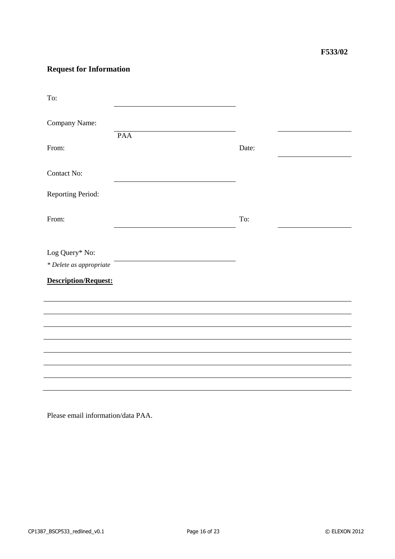## **Request for Information**

| To:                         |     |       |  |
|-----------------------------|-----|-------|--|
| Company Name:               |     |       |  |
|                             | PAA |       |  |
| From:                       |     | Date: |  |
| Contact No:                 |     |       |  |
| Reporting Period:           |     |       |  |
| From:                       |     | To:   |  |
|                             |     |       |  |
| Log Query* No:              |     |       |  |
| * Delete as appropriate     |     |       |  |
| <b>Description/Request:</b> |     |       |  |
|                             |     |       |  |
|                             |     |       |  |
|                             |     |       |  |
|                             |     |       |  |
|                             |     |       |  |
|                             |     |       |  |
|                             |     |       |  |
|                             |     |       |  |
|                             |     |       |  |

Please email information/data PAA.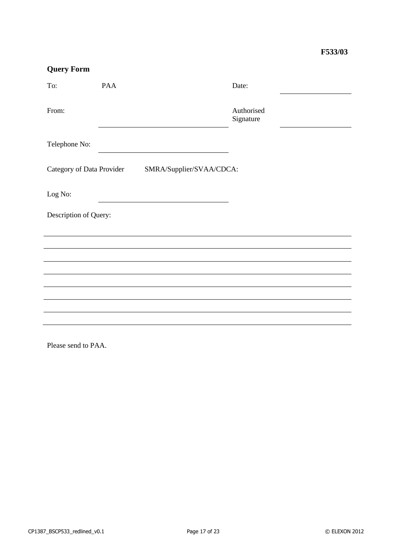## **Query Form**

| To:                       | <b>PAA</b>               | Date:                   |  |  |
|---------------------------|--------------------------|-------------------------|--|--|
| From:                     |                          | Authorised<br>Signature |  |  |
| Telephone No:             |                          |                         |  |  |
| Category of Data Provider | SMRA/Supplier/SVAA/CDCA: |                         |  |  |
| Log No:                   |                          |                         |  |  |
|                           | Description of Query:    |                         |  |  |
|                           |                          |                         |  |  |
|                           |                          |                         |  |  |
|                           |                          |                         |  |  |
|                           |                          |                         |  |  |
|                           |                          |                         |  |  |
|                           |                          |                         |  |  |

Please send to PAA.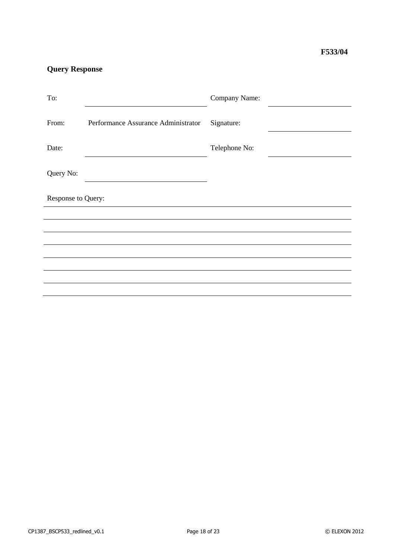## **Query Response**

| To:                |                                     | Company Name: |  |
|--------------------|-------------------------------------|---------------|--|
| From:              | Performance Assurance Administrator | Signature:    |  |
| Date:              |                                     | Telephone No: |  |
| Query No:          |                                     |               |  |
| Response to Query: |                                     |               |  |
|                    |                                     |               |  |
|                    |                                     |               |  |
|                    |                                     |               |  |
|                    |                                     |               |  |
|                    |                                     |               |  |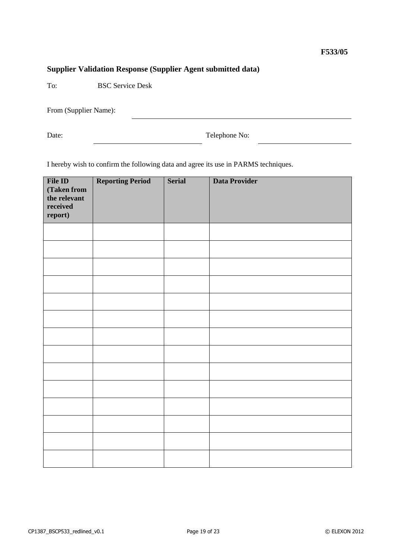## **Supplier Validation Response (Supplier Agent submitted data)**

To: BSC Service Desk

From (Supplier Name):

Date: Telephone No:

I hereby wish to confirm the following data and agree its use in PARMS techniques.

| File ID<br>(Taken from<br>the relevant<br>received<br>report) | <b>Reporting Period</b> | <b>Serial</b> | <b>Data Provider</b> |
|---------------------------------------------------------------|-------------------------|---------------|----------------------|
|                                                               |                         |               |                      |
|                                                               |                         |               |                      |
|                                                               |                         |               |                      |
|                                                               |                         |               |                      |
|                                                               |                         |               |                      |
|                                                               |                         |               |                      |
|                                                               |                         |               |                      |
|                                                               |                         |               |                      |
|                                                               |                         |               |                      |
|                                                               |                         |               |                      |
|                                                               |                         |               |                      |
|                                                               |                         |               |                      |
|                                                               |                         |               |                      |
|                                                               |                         |               |                      |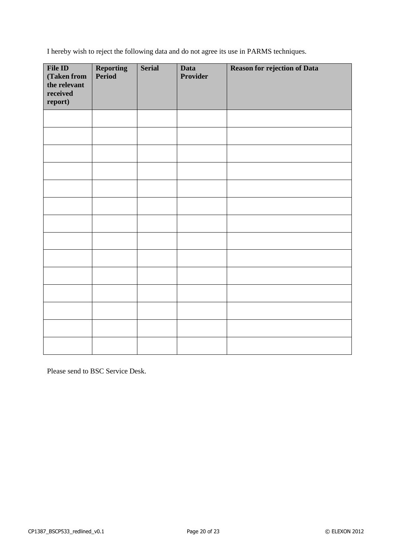I hereby wish to reject the following data and do not agree its use in PARMS techniques.

| File ID<br>(Taken from<br>the relevant<br>received<br>report) | <b>Reporting</b><br><b>Period</b> | <b>Serial</b> | <b>Data</b><br><b>Provider</b> | <b>Reason for rejection of Data</b> |
|---------------------------------------------------------------|-----------------------------------|---------------|--------------------------------|-------------------------------------|
|                                                               |                                   |               |                                |                                     |
|                                                               |                                   |               |                                |                                     |
|                                                               |                                   |               |                                |                                     |
|                                                               |                                   |               |                                |                                     |
|                                                               |                                   |               |                                |                                     |
|                                                               |                                   |               |                                |                                     |
|                                                               |                                   |               |                                |                                     |
|                                                               |                                   |               |                                |                                     |
|                                                               |                                   |               |                                |                                     |
|                                                               |                                   |               |                                |                                     |
|                                                               |                                   |               |                                |                                     |
|                                                               |                                   |               |                                |                                     |
|                                                               |                                   |               |                                |                                     |
|                                                               |                                   |               |                                |                                     |

Please send to BSC Service Desk.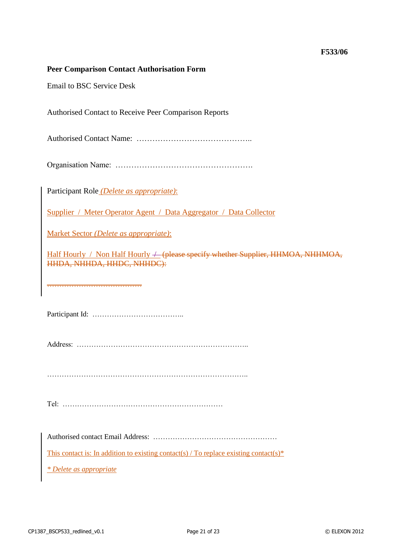#### **Peer Comparison Contact Authorisation Form**

Email to BSC Service Desk

Authorised Contact to Receive Peer Comparison Reports

Authorised Contact Name: ……………………………………..

Organisation Name: …………………………………………….

Participant Role *(Delete as appropriate)*:

Supplier / Meter Operator Agent / Data Aggregator / Data Collector

Market Sector *(Delete as appropriate)*:

Half Hourly / Non Half Hourly  $+$  (please specify whether Supplier, HHMOA, NHHMOA, HHDA, NHHDA, HHDC, NHHDC):

…………………………………

Participant Id: ………………………………..

Address: ……………………………………………………………..

………………………………………………………………………..

Tel: …………………………………………………………

Authorised contact Email Address: ……………………………………………

This contact is: In addition to existing contact(s) / To replace existing contact(s)\*

*\* Delete as appropriate*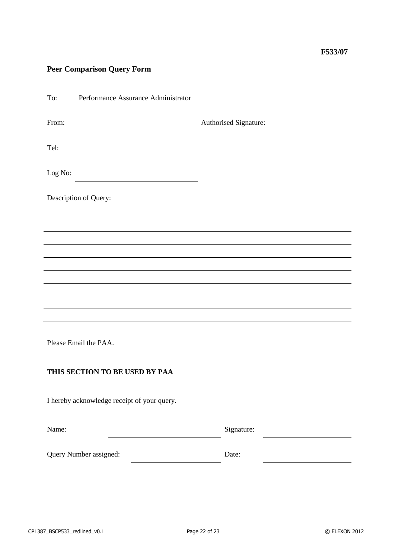## **Peer Comparison Query Form**

| To:     | Performance Assurance Administrator         |                       |  |  |  |
|---------|---------------------------------------------|-----------------------|--|--|--|
| From:   |                                             | Authorised Signature: |  |  |  |
| Tel:    |                                             |                       |  |  |  |
| Log No: |                                             |                       |  |  |  |
|         | Description of Query:                       |                       |  |  |  |
|         |                                             |                       |  |  |  |
|         |                                             |                       |  |  |  |
|         |                                             |                       |  |  |  |
|         |                                             |                       |  |  |  |
|         |                                             |                       |  |  |  |
|         |                                             |                       |  |  |  |
|         | Please Email the PAA.                       |                       |  |  |  |
|         | THIS SECTION TO BE USED BY PAA              |                       |  |  |  |
|         | I hereby acknowledge receipt of your query. |                       |  |  |  |
| Name:   |                                             | Signature:            |  |  |  |
|         | Query Number assigned:                      | Date:                 |  |  |  |